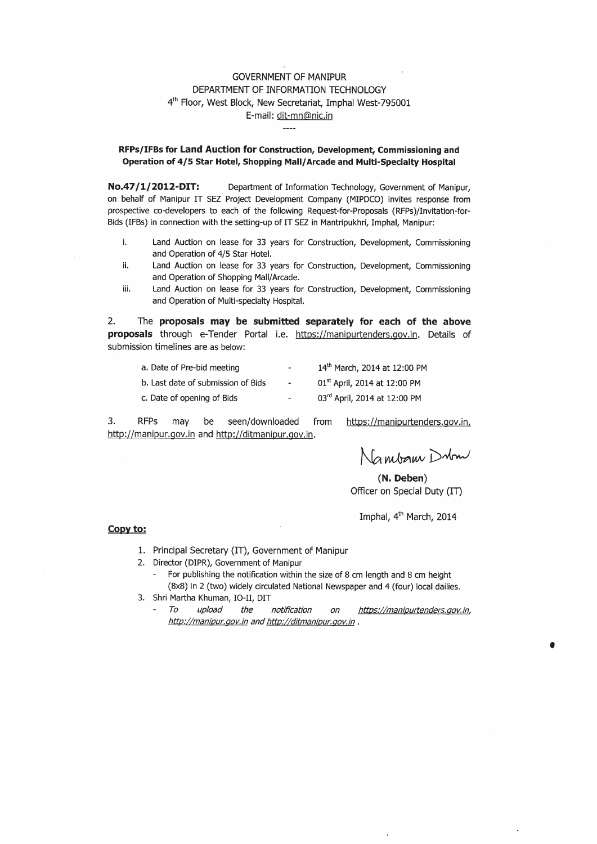#### **GOVERNMENT OF MANIPUR** DEPARTMENT OF INFORMATION TECHNOLOGY 4th Floor, West Block, New Secretariat, Imphal West-795001 E-mail: dit-mn@nic.in

#### RFPs/IFBs for Land Auction for Construction, Development, Commissioning and Operation of 4/5 Star Hotel, Shopping Mall/Arcade and Multi-Specialty Hospital

Department of Information Technology, Government of Manipur, No.47/1/2012-DIT: on behalf of Manipur IT SEZ Project Development Company (MIPDCO) invites response from prospective co-developers to each of the following Request-for-Proposals (RFPs)/Invitation-for-Bids (IFBs) in connection with the setting-up of IT SEZ in Mantripukhri, Imphal, Manipur:

- j, Land Auction on lease for 33 years for Construction, Development, Commissioning and Operation of 4/5 Star Hotel.
- ii. Land Auction on lease for 33 years for Construction, Development, Commissioning and Operation of Shopping Mall/Arcade.
- Land Auction on lease for 33 years for Construction, Development, Commissioning iii. and Operation of Multi-specialty Hospital.

 $2.$ The proposals may be submitted separately for each of the above proposals through e-Tender Portal i.e. https://manipurtenders.gov.in. Details of submission timelines are as below:

| a. Date of Pre-bid meeting         | $\overline{\phantom{a}}$     | 14th March, 2014 at 12:00 PM             |
|------------------------------------|------------------------------|------------------------------------------|
| b. Last date of submission of Bids | $\overline{\phantom{a}}$     | 01 <sup>st</sup> April, 2014 at 12:00 PM |
| c. Date of opening of Bids         | $\qquad \qquad \blacksquare$ | 03rd April, 2014 at 12:00 PM             |

3. **RFPs** seen/downloaded may be from https://manipurtenders.gov.in, http://manipur.gov.in and http://ditmanipur.gov.in.

Nambam Dubm

(N. Deben) Officer on Special Duty (IT)

Imphal, 4<sup>th</sup> March, 2014

#### Copy to:

- 1. Principal Secretary (IT), Government of Manipur
- 2. Director (DIPR), Government of Manipur
	- For publishing the notification within the size of 8 cm length and 8 cm height (8x8) in 2 (two) widely circulated National Newspaper and 4 (four) local dailies.
- 3. Shri Martha Khuman, IO-II, DIT
	- To upload the notification on https://manipurtenders.gov.in,  $\overline{\phantom{a}}$ http://manipur.gov.in and http://ditmanipur.gov.in.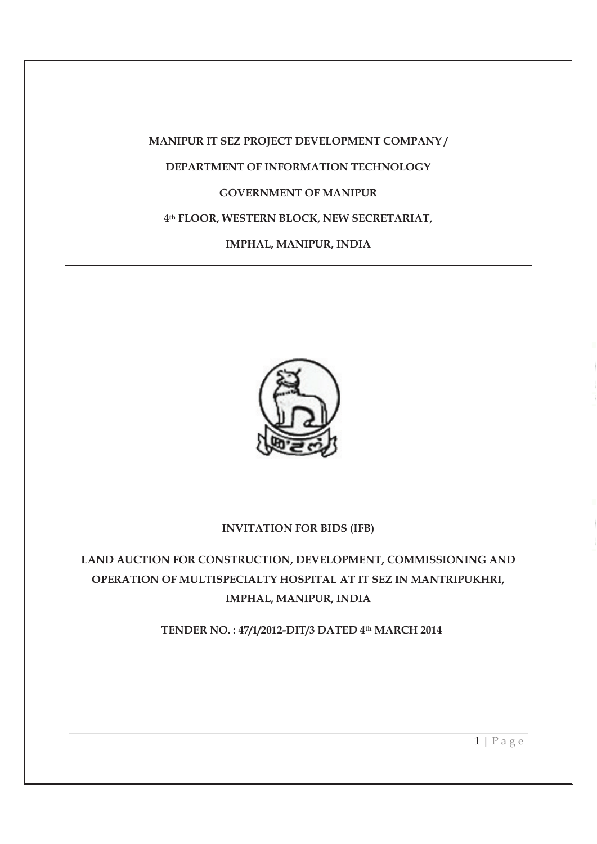**MANIPUR IT SEZ PROJECT DEVELOPMENT COMPANY /** 

# **DEPARTMENT OF INFORMATION TECHNOLOGY**

## **GOVERNMENT OF MANIPUR**

### **4th FLOOR, WESTERN BLOCK, NEW SECRETARIAT,**

**IMPHAL, MANIPUR, INDIA** 



#### **INVITATION FOR BIDS (IFB)**

**LAND AUCTION FOR CONSTRUCTION, DEVELOPMENT, COMMISSIONING AND OPERATION OF MULTISPECIALTY HOSPITAL AT IT SEZ IN MANTRIPUKHRI, IMPHAL, MANIPUR, INDIA** 

**TENDER NO. : 47/1/2012-DIT/3 DATED 4th MARCH 2014**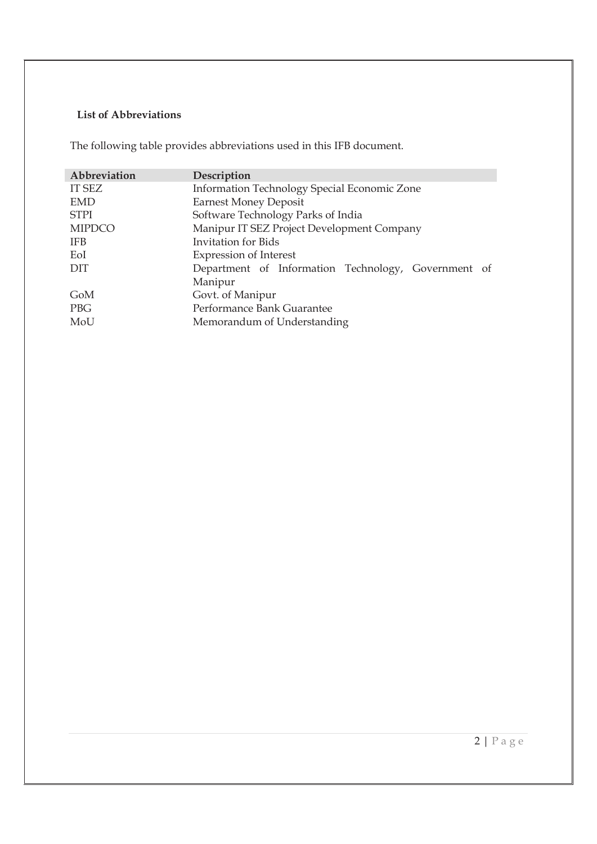## **List of Abbreviations**

The following table provides abbreviations used in this IFB document.

| Abbreviation  | Description                                         |  |  |
|---------------|-----------------------------------------------------|--|--|
| <b>IT SEZ</b> | Information Technology Special Economic Zone        |  |  |
| <b>EMD</b>    | <b>Earnest Money Deposit</b>                        |  |  |
| <b>STPI</b>   | Software Technology Parks of India                  |  |  |
| <b>MIPDCO</b> | Manipur IT SEZ Project Development Company          |  |  |
| <b>IFB</b>    | <b>Invitation</b> for Bids                          |  |  |
| EoI           | <b>Expression of Interest</b>                       |  |  |
| DIT           | Department of Information Technology, Government of |  |  |
|               | Manipur                                             |  |  |
| GoM           | Govt. of Manipur                                    |  |  |
| <b>PBG</b>    | Performance Bank Guarantee                          |  |  |
| MoU           | Memorandum of Understanding                         |  |  |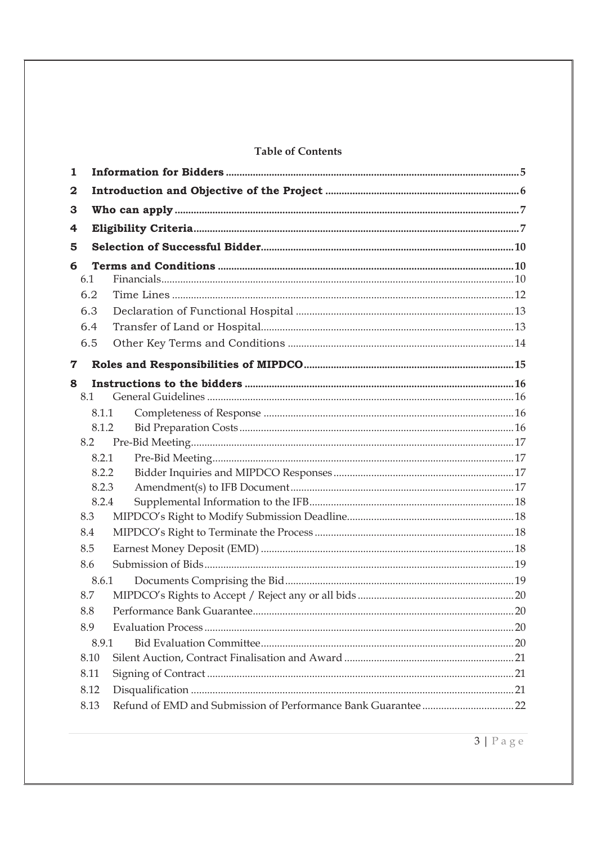### **Table of Contents**

| 1 |      |       |  |
|---|------|-------|--|
| 2 |      |       |  |
| 3 |      |       |  |
| 4 |      |       |  |
| 5 |      |       |  |
| 6 |      |       |  |
|   | 6.1  |       |  |
|   | 6.2  |       |  |
|   | 6.3  |       |  |
|   | 6.4  |       |  |
|   | 6.5  |       |  |
| 7 |      |       |  |
| 8 |      |       |  |
|   | 8.1  |       |  |
|   |      | 8.1.1 |  |
|   |      | 8.1.2 |  |
|   | 8.2  |       |  |
|   |      | 8.2.1 |  |
|   |      | 8.2.2 |  |
|   |      | 8.2.3 |  |
|   |      | 8.2.4 |  |
|   | 8.3  |       |  |
|   | 8.4  |       |  |
|   | 8.5  |       |  |
|   | 8.6  |       |  |
|   |      | 8.6.1 |  |
|   | 8.7  |       |  |
|   | 8.8  |       |  |
|   | 8.9  |       |  |
|   |      | 8.9.1 |  |
|   | 8.10 |       |  |
|   | 8.11 |       |  |
|   | 8.12 |       |  |
|   | 8.13 |       |  |

 $3 | Page$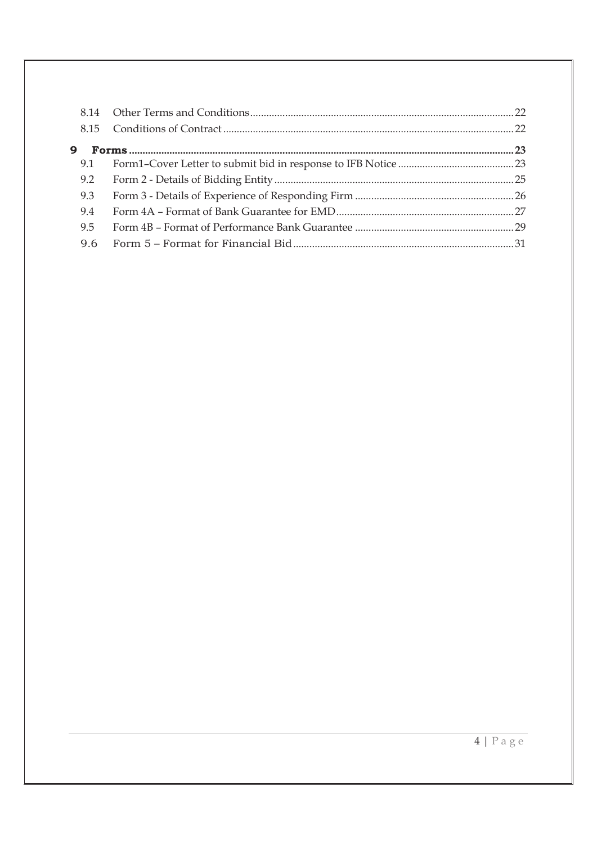| 9   |  |
|-----|--|
| 9.1 |  |
| 9.2 |  |
| 9.3 |  |
| 9.4 |  |
| 9.5 |  |
| 9.6 |  |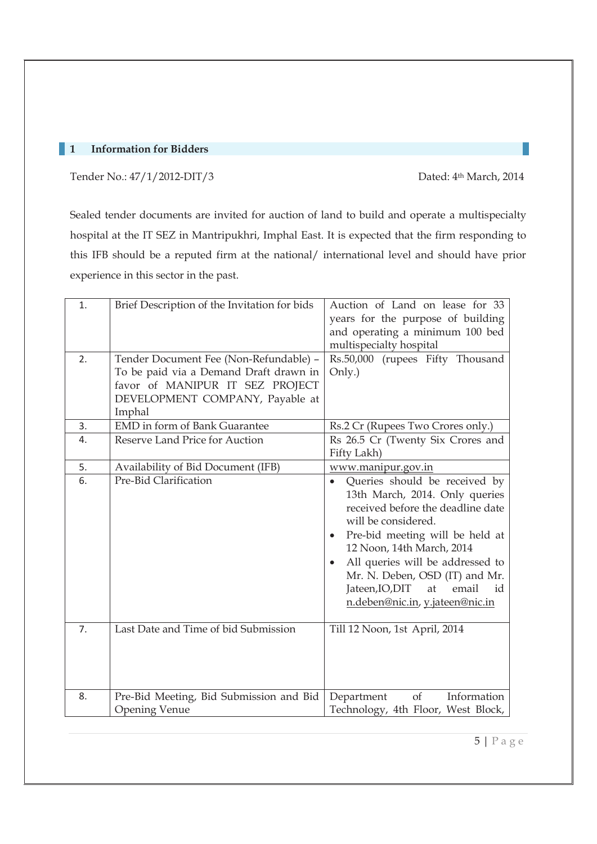### **1 Information for Bidders**

Tender No.: 47/1/2012-DIT/3 Dated: 4th March, 2014

Sealed tender documents are invited for auction of land to build and operate a multispecialty hospital at the IT SEZ in Mantripukhri, Imphal East. It is expected that the firm responding to this IFB should be a reputed firm at the national/ international level and should have prior experience in this sector in the past.

| 1.<br>2. | Brief Description of the Invitation for bids<br>Tender Document Fee (Non-Refundable) -<br>To be paid via a Demand Draft drawn in<br>favor of MANIPUR IT SEZ PROJECT<br>DEVELOPMENT COMPANY, Payable at<br>Imphal | Auction of Land on lease for 33<br>years for the purpose of building<br>and operating a minimum 100 bed<br>multispecialty hospital<br>Rs.50,000 (rupees Fifty Thousand<br>Only.)                                                                                                                                                                                       |
|----------|------------------------------------------------------------------------------------------------------------------------------------------------------------------------------------------------------------------|------------------------------------------------------------------------------------------------------------------------------------------------------------------------------------------------------------------------------------------------------------------------------------------------------------------------------------------------------------------------|
| 3.       | <b>EMD</b> in form of Bank Guarantee                                                                                                                                                                             | Rs.2 Cr (Rupees Two Crores only.)                                                                                                                                                                                                                                                                                                                                      |
| 4.       | Reserve Land Price for Auction                                                                                                                                                                                   | Rs 26.5 Cr (Twenty Six Crores and<br>Fifty Lakh)                                                                                                                                                                                                                                                                                                                       |
| 5.       | Availability of Bid Document (IFB)                                                                                                                                                                               | www.manipur.gov.in                                                                                                                                                                                                                                                                                                                                                     |
| 6.       | Pre-Bid Clarification                                                                                                                                                                                            | Queries should be received by<br>$\bullet$<br>13th March, 2014. Only queries<br>received before the deadline date<br>will be considered.<br>Pre-bid meeting will be held at<br>$\bullet$<br>12 Noon, 14th March, 2014<br>All queries will be addressed to<br>Mr. N. Deben, OSD (IT) and Mr.<br>Jateen, IO, DIT<br>email<br>at<br>id<br>n.deben@nic.in, y.jateen@nic.in |
| 7.       | Last Date and Time of bid Submission                                                                                                                                                                             | Till 12 Noon, 1st April, 2014                                                                                                                                                                                                                                                                                                                                          |
| 8.       | Pre-Bid Meeting, Bid Submission and Bid<br><b>Opening Venue</b>                                                                                                                                                  | of<br>Information<br>Department<br>Technology, 4th Floor, West Block,                                                                                                                                                                                                                                                                                                  |

5 | P a g e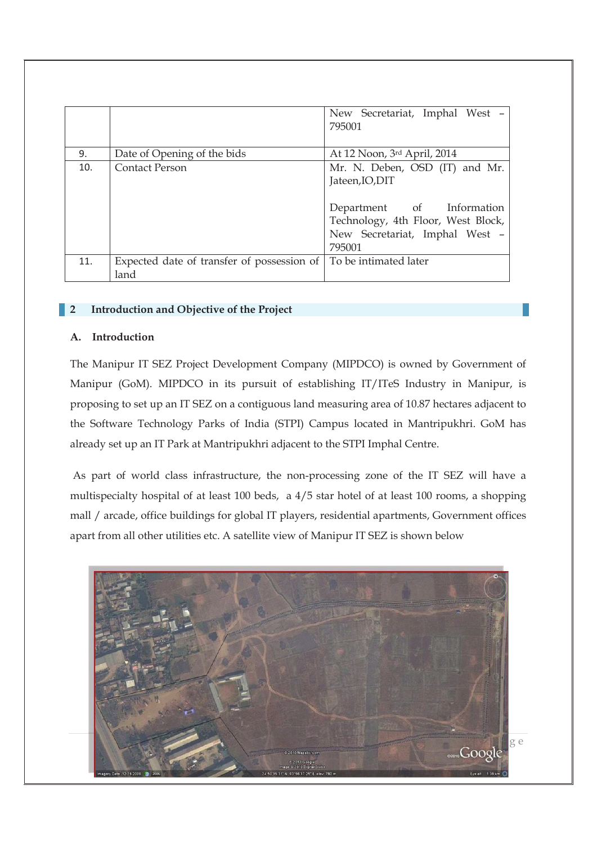|     |                                                                            | New Secretariat, Imphal West -<br>795001                                                                                                                         |
|-----|----------------------------------------------------------------------------|------------------------------------------------------------------------------------------------------------------------------------------------------------------|
| 9.  | Date of Opening of the bids                                                | At 12 Noon, 3rd April, 2014                                                                                                                                      |
| 10. | <b>Contact Person</b>                                                      | Mr. N. Deben, OSD (IT) and Mr.<br>Jateen, IO, DIT<br>Department of Information<br>Technology, 4th Floor, West Block,<br>New Secretariat, Imphal West -<br>795001 |
| 11. | Expected date of transfer of possession of   To be intimated later<br>land |                                                                                                                                                                  |
|     |                                                                            |                                                                                                                                                                  |

#### **2 Introduction and Objective of the Project**

#### **A. Introduction**

The Manipur IT SEZ Project Development Company (MIPDCO) is owned by Government of Manipur (GoM). MIPDCO in its pursuit of establishing IT/ITeS Industry in Manipur, is proposing to set up an IT SEZ on a contiguous land measuring area of 10.87 hectares adjacent to the Software Technology Parks of India (STPI) Campus located in Mantripukhri. GoM has already set up an IT Park at Mantripukhri adjacent to the STPI Imphal Centre.

 As part of world class infrastructure, the non-processing zone of the IT SEZ will have a multispecialty hospital of at least 100 beds, a 4/5 star hotel of at least 100 rooms, a shopping mall / arcade, office buildings for global IT players, residential apartments, Government offices apart from all other utilities etc. A satellite view of Manipur IT SEZ is shown below

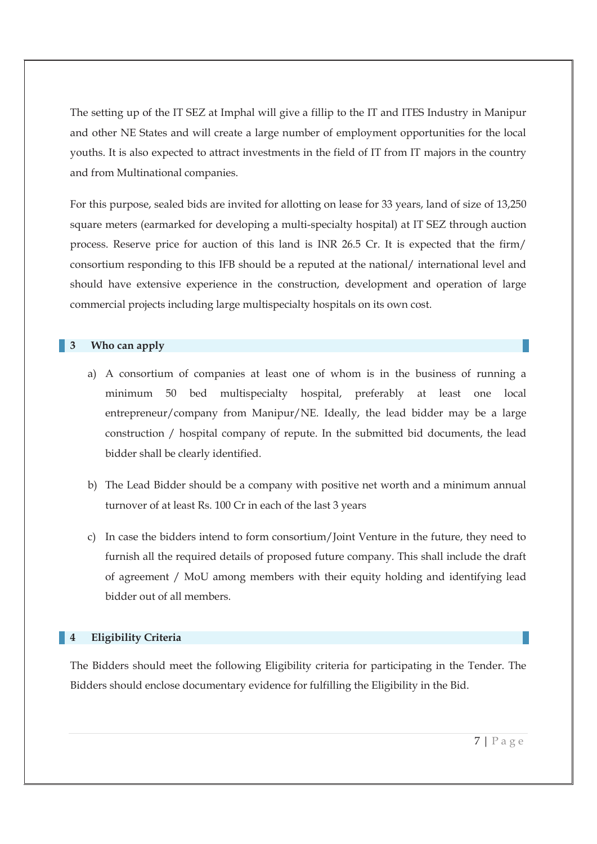The setting up of the IT SEZ at Imphal will give a fillip to the IT and ITES Industry in Manipur and other NE States and will create a large number of employment opportunities for the local youths. It is also expected to attract investments in the field of IT from IT majors in the country and from Multinational companies.

For this purpose, sealed bids are invited for allotting on lease for 33 years, land of size of 13,250 square meters (earmarked for developing a multi-specialty hospital) at IT SEZ through auction process. Reserve price for auction of this land is INR 26.5 Cr. It is expected that the firm/ consortium responding to this IFB should be a reputed at the national/ international level and should have extensive experience in the construction, development and operation of large commercial projects including large multispecialty hospitals on its own cost.

#### **3 Who can apply**

- a) A consortium of companies at least one of whom is in the business of running a minimum 50 bed multispecialty hospital, preferably at least one local entrepreneur/company from Manipur/NE. Ideally, the lead bidder may be a large construction / hospital company of repute. In the submitted bid documents, the lead bidder shall be clearly identified.
- b) The Lead Bidder should be a company with positive net worth and a minimum annual turnover of at least Rs. 100 Cr in each of the last 3 years
- c) In case the bidders intend to form consortium/Joint Venture in the future, they need to furnish all the required details of proposed future company. This shall include the draft of agreement / MoU among members with their equity holding and identifying lead bidder out of all members.

#### **4 Eligibility Criteria**

The Bidders should meet the following Eligibility criteria for participating in the Tender. The Bidders should enclose documentary evidence for fulfilling the Eligibility in the Bid.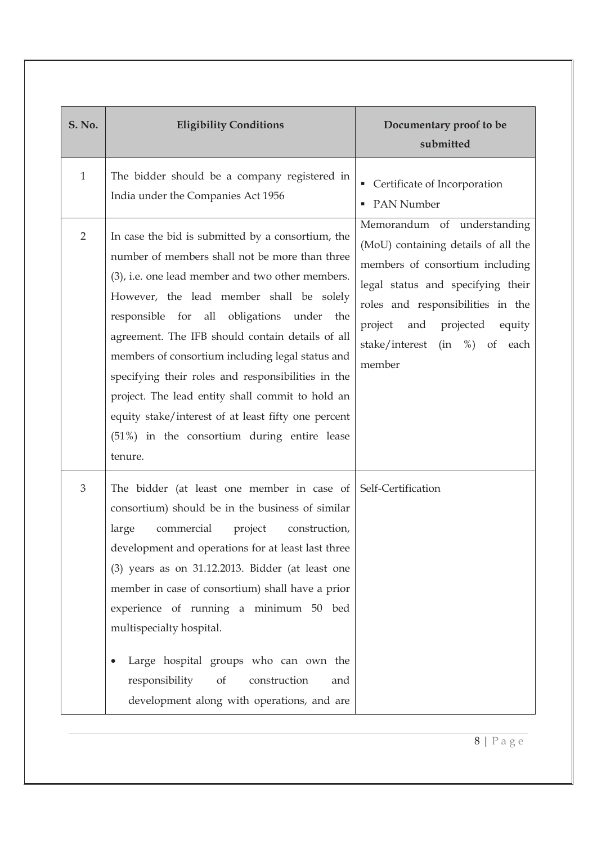| <b>S. No.</b>  | <b>Eligibility Conditions</b>                                                                                                                                                                                                                                                                                                                                                                                                                                                                                                                                                       | Documentary proof to be<br>submitted                                                                                                                                                                                                                          |
|----------------|-------------------------------------------------------------------------------------------------------------------------------------------------------------------------------------------------------------------------------------------------------------------------------------------------------------------------------------------------------------------------------------------------------------------------------------------------------------------------------------------------------------------------------------------------------------------------------------|---------------------------------------------------------------------------------------------------------------------------------------------------------------------------------------------------------------------------------------------------------------|
| $\mathbf{1}$   | The bidder should be a company registered in<br>India under the Companies Act 1956                                                                                                                                                                                                                                                                                                                                                                                                                                                                                                  | Certificate of Incorporation<br>• PAN Number                                                                                                                                                                                                                  |
| $\overline{2}$ | In case the bid is submitted by a consortium, the<br>number of members shall not be more than three<br>(3), i.e. one lead member and two other members.<br>However, the lead member shall be solely<br>responsible for all obligations under the<br>agreement. The IFB should contain details of all<br>members of consortium including legal status and<br>specifying their roles and responsibilities in the<br>project. The lead entity shall commit to hold an<br>equity stake/interest of at least fifty one percent<br>(51%) in the consortium during entire lease<br>tenure. | Memorandum of understanding<br>(MoU) containing details of all the<br>members of consortium including<br>legal status and specifying their<br>roles and responsibilities in the<br>project and projected<br>equity<br>stake/interest (in %) of each<br>member |
| 3              | The bidder (at least one member in case of $\mathcal{S}$ Self-Certification<br>consortium) should be in the business of similar<br>commercial<br>project<br>large<br>construction,<br>development and operations for at least last three<br>$(3)$ years as on 31.12.2013. Bidder (at least one<br>member in case of consortium) shall have a prior<br>experience of running a minimum 50 bed<br>multispecialty hospital.<br>Large hospital groups who can own the<br>responsibility<br>of<br>construction<br>and<br>development along with operations, and are                      |                                                                                                                                                                                                                                                               |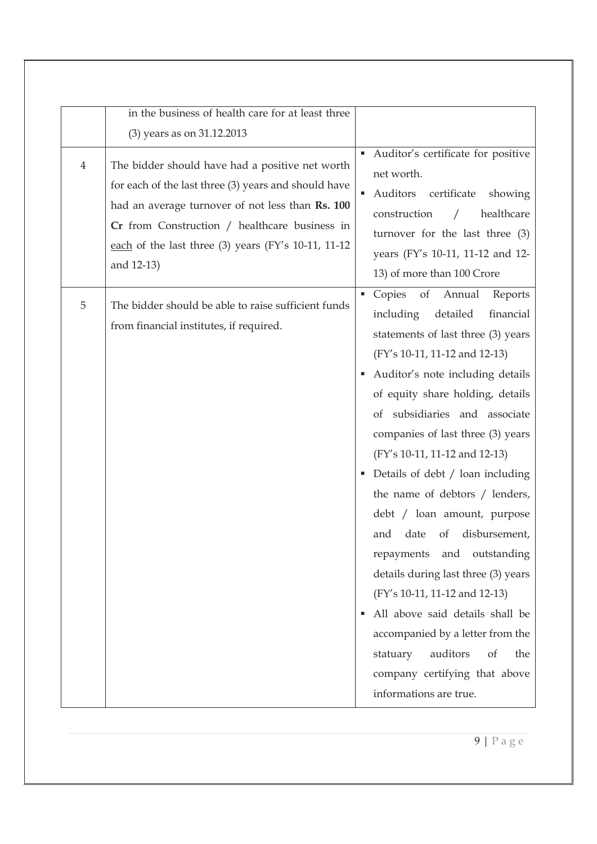|                | in the business of health care for at least three                                                                                                                                                                                                                                 |                                                                                                                                                                                                                                                                                                                                                                                                                                                                                                                                                                                                                                                                                                                                                                       |
|----------------|-----------------------------------------------------------------------------------------------------------------------------------------------------------------------------------------------------------------------------------------------------------------------------------|-----------------------------------------------------------------------------------------------------------------------------------------------------------------------------------------------------------------------------------------------------------------------------------------------------------------------------------------------------------------------------------------------------------------------------------------------------------------------------------------------------------------------------------------------------------------------------------------------------------------------------------------------------------------------------------------------------------------------------------------------------------------------|
|                | (3) years as on 31.12.2013                                                                                                                                                                                                                                                        |                                                                                                                                                                                                                                                                                                                                                                                                                                                                                                                                                                                                                                                                                                                                                                       |
| $\overline{4}$ | The bidder should have had a positive net worth<br>for each of the last three (3) years and should have<br>had an average turnover of not less than Rs. 100<br>Cr from Construction / healthcare business in<br>each of the last three (3) years (FY's 10-11, 11-12<br>and 12-13) | Auditor's certificate for positive<br>net worth.<br>Auditors<br>certificate<br>showing<br>construction<br>healthcare<br>$\sqrt{2}$<br>turnover for the last three (3)<br>years (FY's 10-11, 11-12 and 12-<br>13) of more than 100 Crore                                                                                                                                                                                                                                                                                                                                                                                                                                                                                                                               |
| 5              | The bidder should be able to raise sufficient funds<br>from financial institutes, if required.                                                                                                                                                                                    | Copies of<br>Annual<br>Reports<br>including<br>detailed<br>financial<br>statements of last three (3) years<br>(FY's 10-11, 11-12 and 12-13)<br>Auditor's note including details<br>of equity share holding, details<br>of subsidiaries and associate<br>companies of last three (3) years<br>(FY's 10-11, 11-12 and 12-13)<br>• Details of debt / loan including<br>the name of debtors / lenders,<br>debt / loan amount, purpose<br>of<br>disbursement,<br>and<br>date<br>repayments<br>and<br>outstanding<br>details during last three (3) years<br>(FY's 10-11, 11-12 and 12-13)<br>All above said details shall be<br>accompanied by a letter from the<br>auditors<br><sub>of</sub><br>the<br>statuary<br>company certifying that above<br>informations are true. |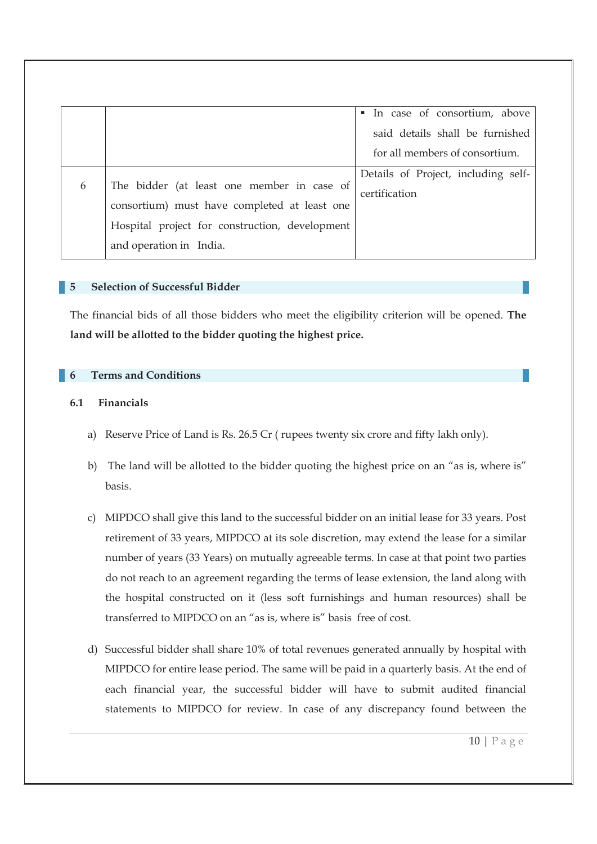|   |                                                | In case of consortium, above<br>٠   |
|---|------------------------------------------------|-------------------------------------|
|   |                                                | said details shall be furnished     |
|   |                                                | for all members of consortium.      |
|   |                                                | Details of Project, including self- |
| 6 | The bidder (at least one member in case of     | certification                       |
|   | consortium) must have completed at least one   |                                     |
|   | Hospital project for construction, development |                                     |
|   | and operation in India.                        |                                     |

#### **5 Selection of Successful Bidder**

The financial bids of all those bidders who meet the eligibility criterion will be opened. **The land will be allotted to the bidder quoting the highest price.**

#### **6 Terms and Conditions**

#### **6.1 Financials**

- a) Reserve Price of Land is Rs. 26.5 Cr ( rupees twenty six crore and fifty lakh only).
- b) The land will be allotted to the bidder quoting the highest price on an "as is, where is" basis.
- c) MIPDCO shall give this land to the successful bidder on an initial lease for 33 years. Post retirement of 33 years, MIPDCO at its sole discretion, may extend the lease for a similar number of years (33 Years) on mutually agreeable terms. In case at that point two parties do not reach to an agreement regarding the terms of lease extension, the land along with the hospital constructed on it (less soft furnishings and human resources) shall be transferred to MIPDCO on an "as is, where is" basis free of cost.
- d) Successful bidder shall share 10% of total revenues generated annually by hospital with MIPDCO for entire lease period. The same will be paid in a quarterly basis. At the end of each financial year, the successful bidder will have to submit audited financial statements to MIPDCO for review. In case of any discrepancy found between the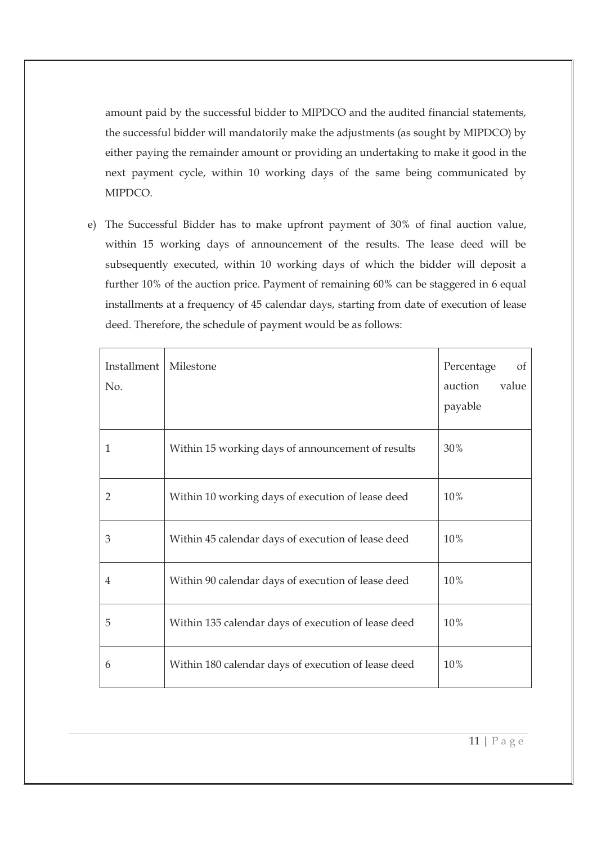amount paid by the successful bidder to MIPDCO and the audited financial statements, the successful bidder will mandatorily make the adjustments (as sought by MIPDCO) by either paying the remainder amount or providing an undertaking to make it good in the next payment cycle, within 10 working days of the same being communicated by MIPDCO.

e) The Successful Bidder has to make upfront payment of 30% of final auction value, within 15 working days of announcement of the results. The lease deed will be subsequently executed, within 10 working days of which the bidder will deposit a further 10% of the auction price. Payment of remaining 60% can be staggered in 6 equal installments at a frequency of 45 calendar days, starting from date of execution of lease deed. Therefore, the schedule of payment would be as follows:

| Installment<br>No. | Milestone                                           | Percentage<br>of<br>value<br>auction<br>payable |
|--------------------|-----------------------------------------------------|-------------------------------------------------|
| 1                  | Within 15 working days of announcement of results   | 30%                                             |
| 2                  | Within 10 working days of execution of lease deed   | 10%                                             |
| 3                  | Within 45 calendar days of execution of lease deed  | 10%                                             |
| 4                  | Within 90 calendar days of execution of lease deed  | 10%                                             |
| 5                  | Within 135 calendar days of execution of lease deed | 10%                                             |
| 6                  | Within 180 calendar days of execution of lease deed | 10%                                             |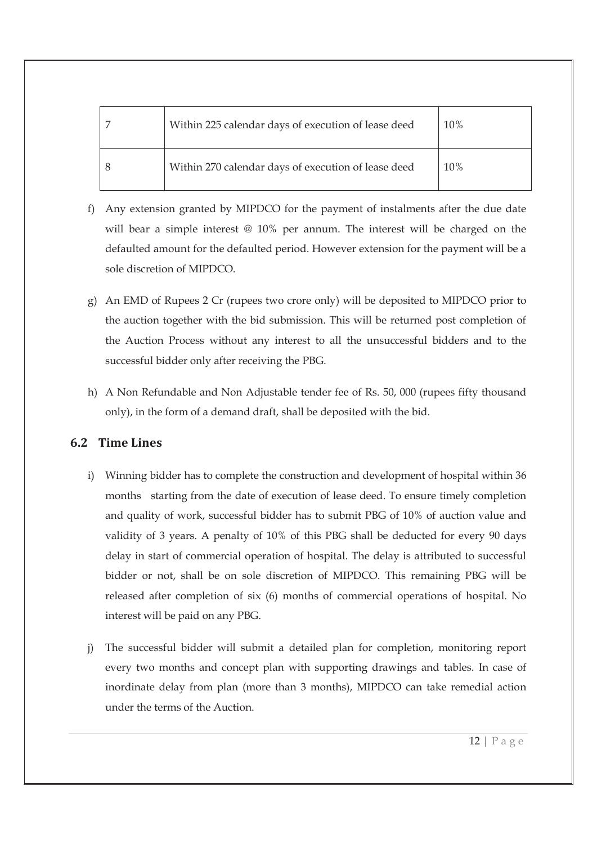| Within 225 calendar days of execution of lease deed | 10% |
|-----------------------------------------------------|-----|
| Within 270 calendar days of execution of lease deed | 10% |

- f) Any extension granted by MIPDCO for the payment of instalments after the due date will bear a simple interest @ 10% per annum. The interest will be charged on the defaulted amount for the defaulted period. However extension for the payment will be a sole discretion of MIPDCO.
- g) An EMD of Rupees 2 Cr (rupees two crore only) will be deposited to MIPDCO prior to the auction together with the bid submission. This will be returned post completion of the Auction Process without any interest to all the unsuccessful bidders and to the successful bidder only after receiving the PBG.
- h) A Non Refundable and Non Adjustable tender fee of Rs. 50, 000 (rupees fifty thousand only), in the form of a demand draft, shall be deposited with the bid.

### **6.2 Time Lines**

- i) Winning bidder has to complete the construction and development of hospital within 36 months starting from the date of execution of lease deed. To ensure timely completion and quality of work, successful bidder has to submit PBG of 10% of auction value and validity of 3 years. A penalty of 10% of this PBG shall be deducted for every 90 days delay in start of commercial operation of hospital. The delay is attributed to successful bidder or not, shall be on sole discretion of MIPDCO. This remaining PBG will be released after completion of six (6) months of commercial operations of hospital. No interest will be paid on any PBG.
- j) The successful bidder will submit a detailed plan for completion, monitoring report every two months and concept plan with supporting drawings and tables. In case of inordinate delay from plan (more than 3 months), MIPDCO can take remedial action under the terms of the Auction.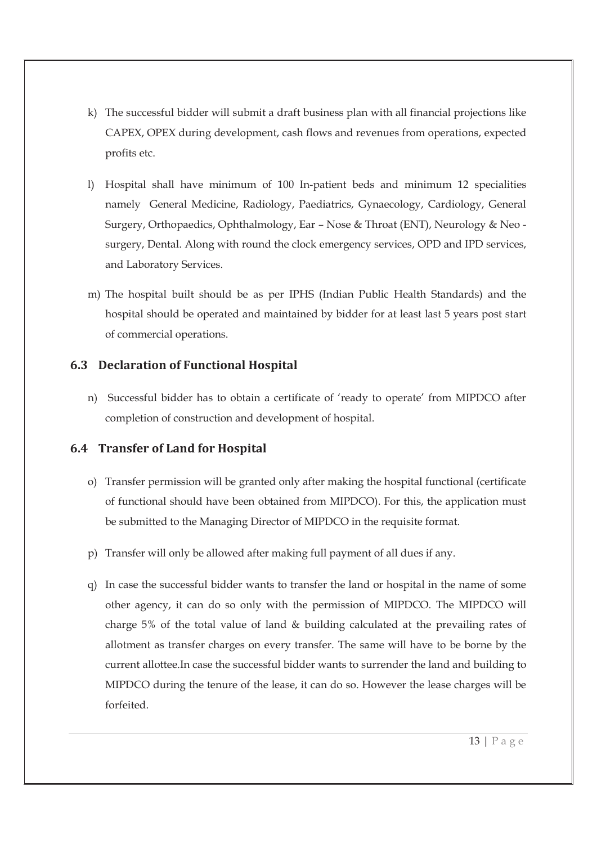- k) The successful bidder will submit a draft business plan with all financial projections like CAPEX, OPEX during development, cash flows and revenues from operations, expected profits etc.
- l) Hospital shall have minimum of 100 In-patient beds and minimum 12 specialities namely General Medicine, Radiology, Paediatrics, Gynaecology, Cardiology, General Surgery, Orthopaedics, Ophthalmology, Ear – Nose & Throat (ENT), Neurology & Neo surgery, Dental. Along with round the clock emergency services, OPD and IPD services, and Laboratory Services.
- m) The hospital built should be as per IPHS (Indian Public Health Standards) and the hospital should be operated and maintained by bidder for at least last 5 years post start of commercial operations.

### **6.3 Declaration of Functional Hospital**

n) Successful bidder has to obtain a certificate of 'ready to operate' from MIPDCO after completion of construction and development of hospital.

### **6.4 Transfer of Land for Hospital**

- o) Transfer permission will be granted only after making the hospital functional (certificate of functional should have been obtained from MIPDCO). For this, the application must be submitted to the Managing Director of MIPDCO in the requisite format.
- p) Transfer will only be allowed after making full payment of all dues if any.
- q) In case the successful bidder wants to transfer the land or hospital in the name of some other agency, it can do so only with the permission of MIPDCO. The MIPDCO will charge 5% of the total value of land & building calculated at the prevailing rates of allotment as transfer charges on every transfer. The same will have to be borne by the current allottee.In case the successful bidder wants to surrender the land and building to MIPDCO during the tenure of the lease, it can do so. However the lease charges will be forfeited.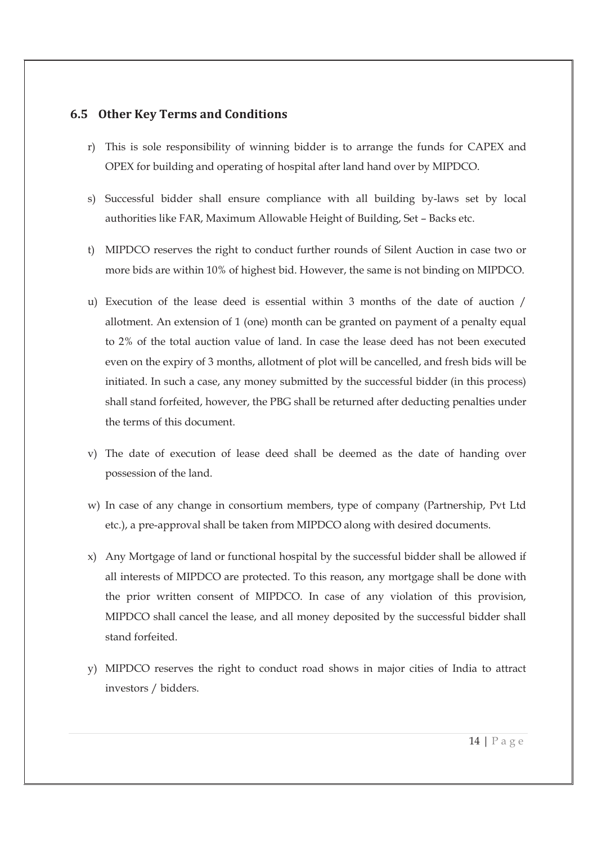### **6.5 Other Key Terms and Conditions**

- r) This is sole responsibility of winning bidder is to arrange the funds for CAPEX and OPEX for building and operating of hospital after land hand over by MIPDCO.
- s) Successful bidder shall ensure compliance with all building by-laws set by local authorities like FAR, Maximum Allowable Height of Building, Set – Backs etc.
- t) MIPDCO reserves the right to conduct further rounds of Silent Auction in case two or more bids are within 10% of highest bid. However, the same is not binding on MIPDCO.
- u) Execution of the lease deed is essential within 3 months of the date of auction / allotment. An extension of 1 (one) month can be granted on payment of a penalty equal to 2% of the total auction value of land. In case the lease deed has not been executed even on the expiry of 3 months, allotment of plot will be cancelled, and fresh bids will be initiated. In such a case, any money submitted by the successful bidder (in this process) shall stand forfeited, however, the PBG shall be returned after deducting penalties under the terms of this document.
- v) The date of execution of lease deed shall be deemed as the date of handing over possession of the land.
- w) In case of any change in consortium members, type of company (Partnership, Pvt Ltd etc.), a pre-approval shall be taken from MIPDCO along with desired documents.
- x) Any Mortgage of land or functional hospital by the successful bidder shall be allowed if all interests of MIPDCO are protected. To this reason, any mortgage shall be done with the prior written consent of MIPDCO. In case of any violation of this provision, MIPDCO shall cancel the lease, and all money deposited by the successful bidder shall stand forfeited.
- y) MIPDCO reserves the right to conduct road shows in major cities of India to attract investors / bidders.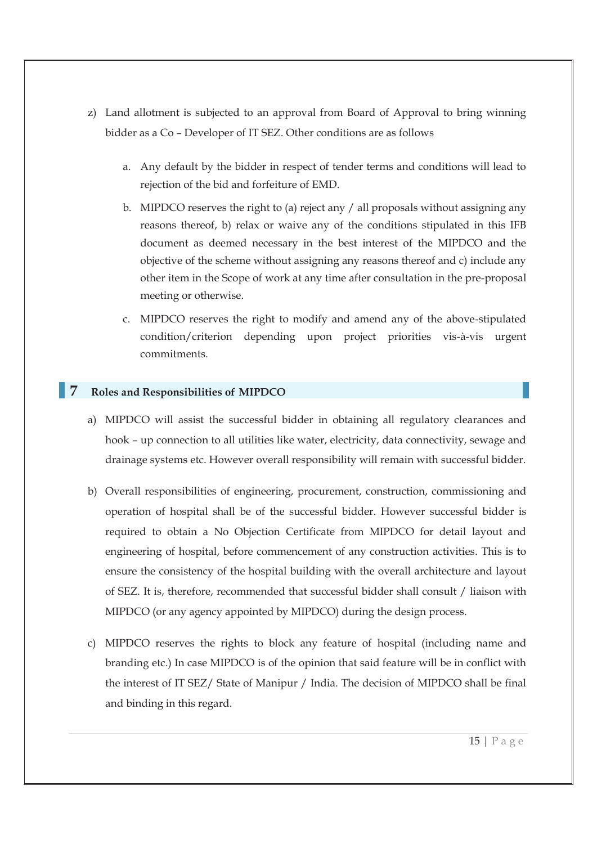- z) Land allotment is subjected to an approval from Board of Approval to bring winning bidder as a Co – Developer of IT SEZ. Other conditions are as follows
	- a. Any default by the bidder in respect of tender terms and conditions will lead to rejection of the bid and forfeiture of EMD.
	- b. MIPDCO reserves the right to (a) reject any / all proposals without assigning any reasons thereof, b) relax or waive any of the conditions stipulated in this IFB document as deemed necessary in the best interest of the MIPDCO and the objective of the scheme without assigning any reasons thereof and c) include any other item in the Scope of work at any time after consultation in the pre-proposal meeting or otherwise.
	- c. MIPDCO reserves the right to modify and amend any of the above-stipulated condition/criterion depending upon project priorities vis-à-vis urgent commitments.

### **7 Roles and Responsibilities of MIPDCO**

- a) MIPDCO will assist the successful bidder in obtaining all regulatory clearances and hook – up connection to all utilities like water, electricity, data connectivity, sewage and drainage systems etc. However overall responsibility will remain with successful bidder.
- b) Overall responsibilities of engineering, procurement, construction, commissioning and operation of hospital shall be of the successful bidder. However successful bidder is required to obtain a No Objection Certificate from MIPDCO for detail layout and engineering of hospital, before commencement of any construction activities. This is to ensure the consistency of the hospital building with the overall architecture and layout of SEZ. It is, therefore, recommended that successful bidder shall consult / liaison with MIPDCO (or any agency appointed by MIPDCO) during the design process.
- c) MIPDCO reserves the rights to block any feature of hospital (including name and branding etc.) In case MIPDCO is of the opinion that said feature will be in conflict with the interest of IT SEZ/ State of Manipur / India. The decision of MIPDCO shall be final and binding in this regard.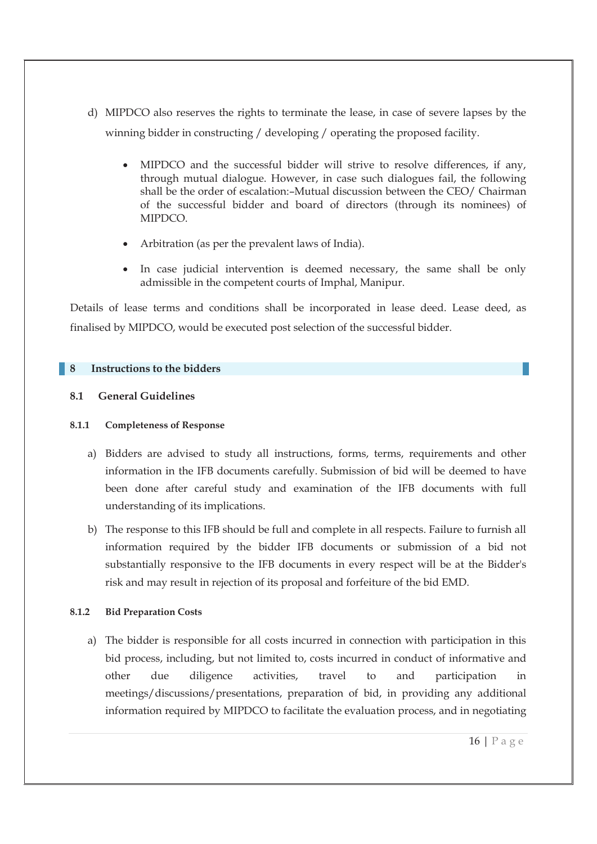- d) MIPDCO also reserves the rights to terminate the lease, in case of severe lapses by the winning bidder in constructing / developing / operating the proposed facility.
	- · MIPDCO and the successful bidder will strive to resolve differences, if any, through mutual dialogue. However, in case such dialogues fail, the following shall be the order of escalation:–Mutual discussion between the CEO/ Chairman of the successful bidder and board of directors (through its nominees) of MIPDCO.
	- · Arbitration (as per the prevalent laws of India).
	- · In case judicial intervention is deemed necessary, the same shall be only admissible in the competent courts of Imphal, Manipur.

Details of lease terms and conditions shall be incorporated in lease deed. Lease deed, as finalised by MIPDCO, would be executed post selection of the successful bidder.

#### **8 Instructions to the bidders**

#### **8.1 General Guidelines**

#### **8.1.1 Completeness of Response**

- a) Bidders are advised to study all instructions, forms, terms, requirements and other information in the IFB documents carefully. Submission of bid will be deemed to have been done after careful study and examination of the IFB documents with full understanding of its implications.
- b) The response to this IFB should be full and complete in all respects. Failure to furnish all information required by the bidder IFB documents or submission of a bid not substantially responsive to the IFB documents in every respect will be at the Bidder's risk and may result in rejection of its proposal and forfeiture of the bid EMD.

#### **8.1.2 Bid Preparation Costs**

a) The bidder is responsible for all costs incurred in connection with participation in this bid process, including, but not limited to, costs incurred in conduct of informative and other due diligence activities, travel to and participation in meetings/discussions/presentations, preparation of bid, in providing any additional information required by MIPDCO to facilitate the evaluation process, and in negotiating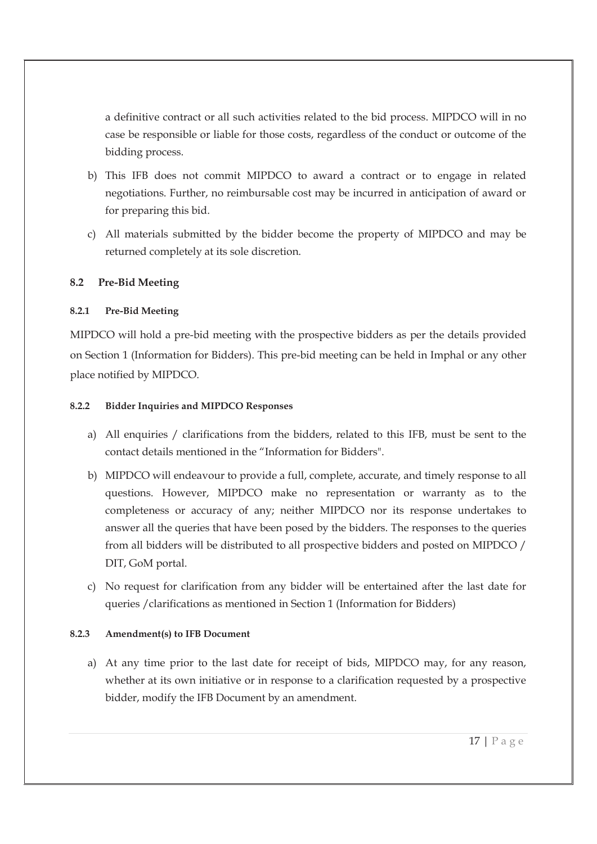a definitive contract or all such activities related to the bid process. MIPDCO will in no case be responsible or liable for those costs, regardless of the conduct or outcome of the bidding process.

- b) This IFB does not commit MIPDCO to award a contract or to engage in related negotiations. Further, no reimbursable cost may be incurred in anticipation of award or for preparing this bid.
- c) All materials submitted by the bidder become the property of MIPDCO and may be returned completely at its sole discretion.

#### **8.2 Pre-Bid Meeting**

#### **8.2.1 Pre-Bid Meeting**

MIPDCO will hold a pre-bid meeting with the prospective bidders as per the details provided on Section 1 (Information for Bidders). This pre-bid meeting can be held in Imphal or any other place notified by MIPDCO.

#### **8.2.2 Bidder Inquiries and MIPDCO Responses**

- a) All enquiries / clarifications from the bidders, related to this IFB, must be sent to the contact details mentioned in the "Information for Bidders".
- b) MIPDCO will endeavour to provide a full, complete, accurate, and timely response to all questions. However, MIPDCO make no representation or warranty as to the completeness or accuracy of any; neither MIPDCO nor its response undertakes to answer all the queries that have been posed by the bidders. The responses to the queries from all bidders will be distributed to all prospective bidders and posted on MIPDCO / DIT, GoM portal.
- c) No request for clarification from any bidder will be entertained after the last date for queries /clarifications as mentioned in Section 1 (Information for Bidders)

#### **8.2.3 Amendment(s) to IFB Document**

a) At any time prior to the last date for receipt of bids, MIPDCO may, for any reason, whether at its own initiative or in response to a clarification requested by a prospective bidder, modify the IFB Document by an amendment.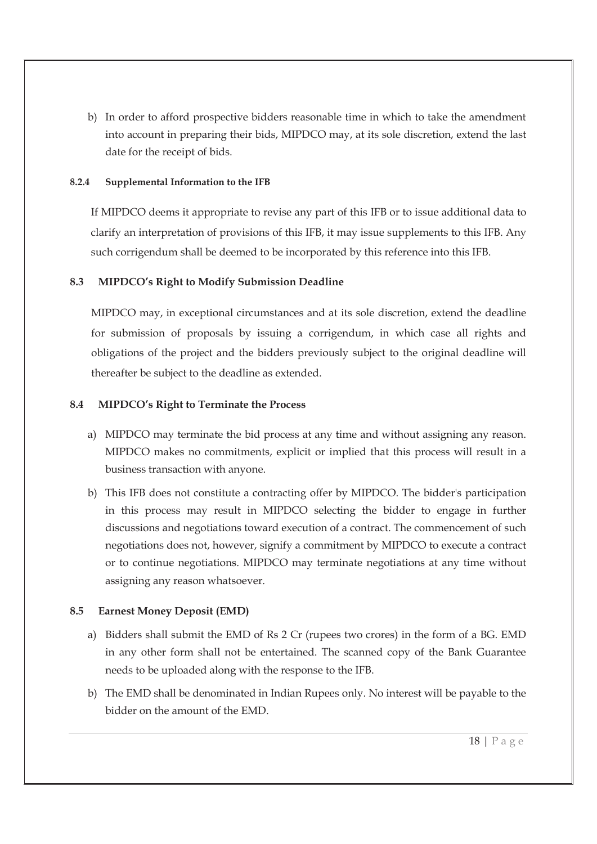b) In order to afford prospective bidders reasonable time in which to take the amendment into account in preparing their bids, MIPDCO may, at its sole discretion, extend the last date for the receipt of bids.

#### **8.2.4 Supplemental Information to the IFB**

If MIPDCO deems it appropriate to revise any part of this IFB or to issue additional data to clarify an interpretation of provisions of this IFB, it may issue supplements to this IFB. Any such corrigendum shall be deemed to be incorporated by this reference into this IFB.

#### **8.3 MIPDCO's Right to Modify Submission Deadline**

MIPDCO may, in exceptional circumstances and at its sole discretion, extend the deadline for submission of proposals by issuing a corrigendum, in which case all rights and obligations of the project and the bidders previously subject to the original deadline will thereafter be subject to the deadline as extended.

#### **8.4 MIPDCO's Right to Terminate the Process**

- a) MIPDCO may terminate the bid process at any time and without assigning any reason. MIPDCO makes no commitments, explicit or implied that this process will result in a business transaction with anyone.
- b) This IFB does not constitute a contracting offer by MIPDCO. The bidder's participation in this process may result in MIPDCO selecting the bidder to engage in further discussions and negotiations toward execution of a contract. The commencement of such negotiations does not, however, signify a commitment by MIPDCO to execute a contract or to continue negotiations. MIPDCO may terminate negotiations at any time without assigning any reason whatsoever.

### **8.5 Earnest Money Deposit (EMD)**

- a) Bidders shall submit the EMD of Rs 2 Cr (rupees two crores) in the form of a BG. EMD in any other form shall not be entertained. The scanned copy of the Bank Guarantee needs to be uploaded along with the response to the IFB.
- b) The EMD shall be denominated in Indian Rupees only. No interest will be payable to the bidder on the amount of the EMD.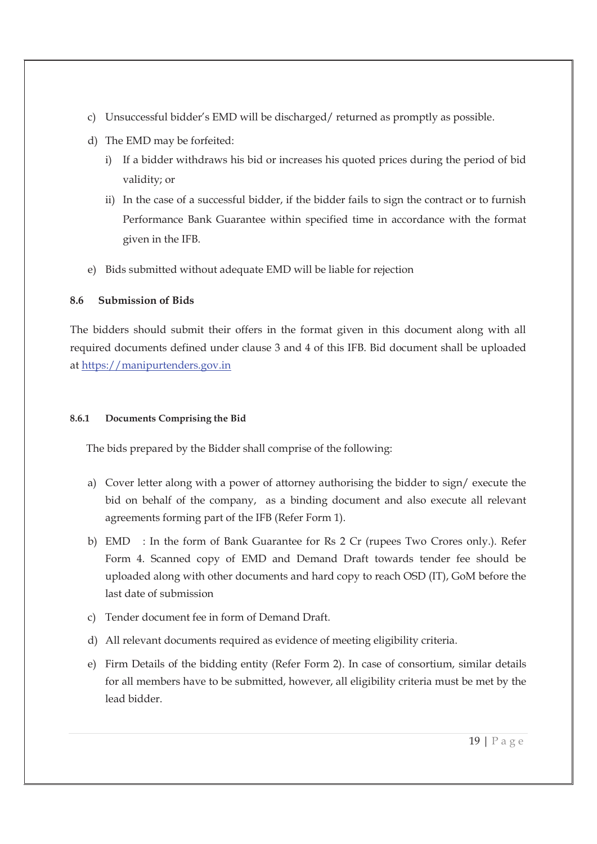- c) Unsuccessful bidder's EMD will be discharged/ returned as promptly as possible.
- d) The EMD may be forfeited:
	- i) If a bidder withdraws his bid or increases his quoted prices during the period of bid validity; or
	- ii) In the case of a successful bidder, if the bidder fails to sign the contract or to furnish Performance Bank Guarantee within specified time in accordance with the format given in the IFB.
- e) Bids submitted without adequate EMD will be liable for rejection

### **8.6 Submission of Bids**

The bidders should submit their offers in the format given in this document along with all required documents defined under clause 3 and 4 of this IFB. Bid document shall be uploaded at https://manipurtenders.gov.in

### **8.6.1 Documents Comprising the Bid**

The bids prepared by the Bidder shall comprise of the following:

- a) Cover letter along with a power of attorney authorising the bidder to sign/ execute the bid on behalf of the company, as a binding document and also execute all relevant agreements forming part of the IFB (Refer Form 1).
- b) EMD : In the form of Bank Guarantee for Rs 2 Cr (rupees Two Crores only.). Refer Form 4. Scanned copy of EMD and Demand Draft towards tender fee should be uploaded along with other documents and hard copy to reach OSD (IT), GoM before the last date of submission
- c) Tender document fee in form of Demand Draft.
- d) All relevant documents required as evidence of meeting eligibility criteria.
- e) Firm Details of the bidding entity (Refer Form 2). In case of consortium, similar details for all members have to be submitted, however, all eligibility criteria must be met by the lead bidder.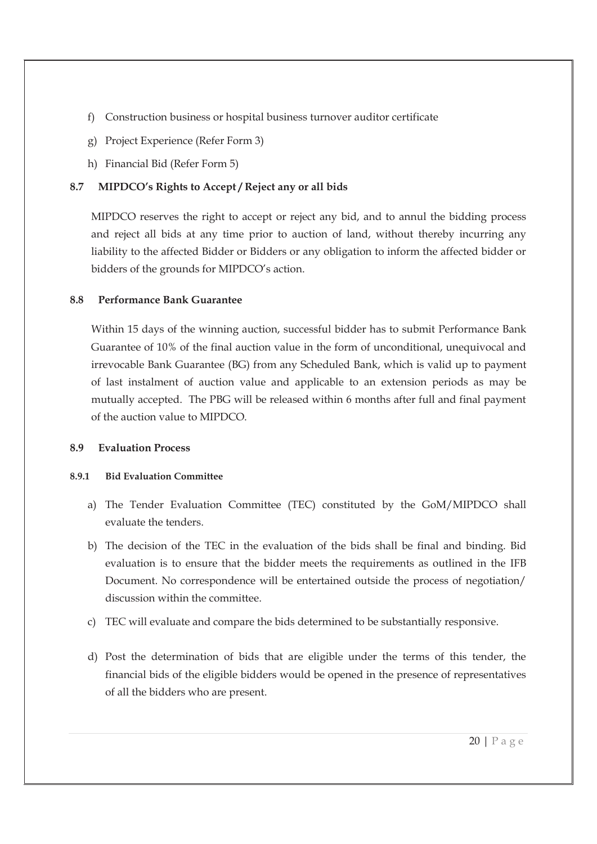- f) Construction business or hospital business turnover auditor certificate
- g) Project Experience (Refer Form 3)
- h) Financial Bid (Refer Form 5)

### **8.7 MIPDCO's Rights to Accept / Reject any or all bids**

MIPDCO reserves the right to accept or reject any bid, and to annul the bidding process and reject all bids at any time prior to auction of land, without thereby incurring any liability to the affected Bidder or Bidders or any obligation to inform the affected bidder or bidders of the grounds for MIPDCO's action.

#### **8.8 Performance Bank Guarantee**

Within 15 days of the winning auction, successful bidder has to submit Performance Bank Guarantee of 10% of the final auction value in the form of unconditional, unequivocal and irrevocable Bank Guarantee (BG) from any Scheduled Bank, which is valid up to payment of last instalment of auction value and applicable to an extension periods as may be mutually accepted. The PBG will be released within 6 months after full and final payment of the auction value to MIPDCO.

#### **8.9 Evaluation Process**

#### **8.9.1 Bid Evaluation Committee**

- a) The Tender Evaluation Committee (TEC) constituted by the GoM/MIPDCO shall evaluate the tenders.
- b) The decision of the TEC in the evaluation of the bids shall be final and binding. Bid evaluation is to ensure that the bidder meets the requirements as outlined in the IFB Document. No correspondence will be entertained outside the process of negotiation/ discussion within the committee.
- c) TEC will evaluate and compare the bids determined to be substantially responsive.
- d) Post the determination of bids that are eligible under the terms of this tender, the financial bids of the eligible bidders would be opened in the presence of representatives of all the bidders who are present.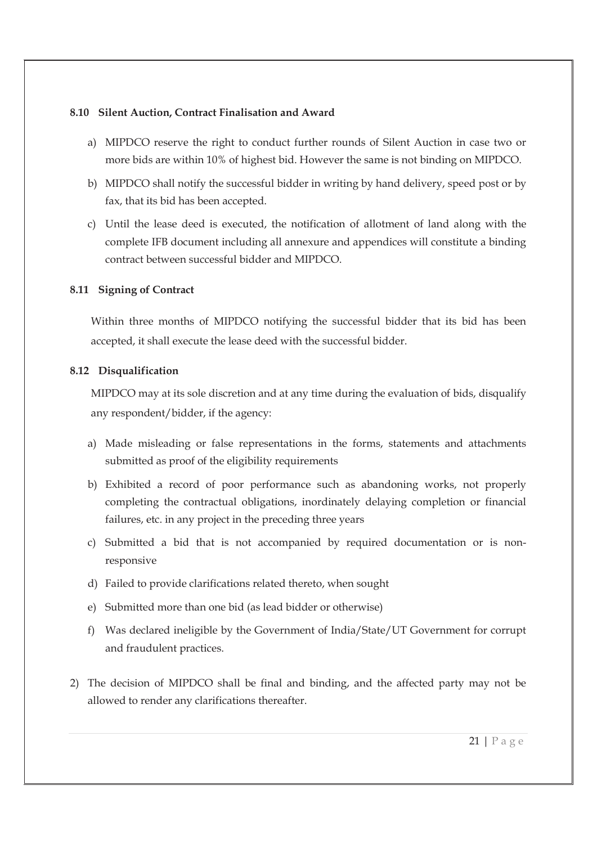#### **8.10 Silent Auction, Contract Finalisation and Award**

- a) MIPDCO reserve the right to conduct further rounds of Silent Auction in case two or more bids are within 10% of highest bid. However the same is not binding on MIPDCO.
- b) MIPDCO shall notify the successful bidder in writing by hand delivery, speed post or by fax, that its bid has been accepted.
- c) Until the lease deed is executed, the notification of allotment of land along with the complete IFB document including all annexure and appendices will constitute a binding contract between successful bidder and MIPDCO.

#### **8.11 Signing of Contract**

Within three months of MIPDCO notifying the successful bidder that its bid has been accepted, it shall execute the lease deed with the successful bidder.

#### **8.12 Disqualification**

MIPDCO may at its sole discretion and at any time during the evaluation of bids, disqualify any respondent/bidder, if the agency:

- a) Made misleading or false representations in the forms, statements and attachments submitted as proof of the eligibility requirements
- b) Exhibited a record of poor performance such as abandoning works, not properly completing the contractual obligations, inordinately delaying completion or financial failures, etc. in any project in the preceding three years
- c) Submitted a bid that is not accompanied by required documentation or is nonresponsive
- d) Failed to provide clarifications related thereto, when sought
- e) Submitted more than one bid (as lead bidder or otherwise)
- f) Was declared ineligible by the Government of India/State/UT Government for corrupt and fraudulent practices.
- 2) The decision of MIPDCO shall be final and binding, and the affected party may not be allowed to render any clarifications thereafter.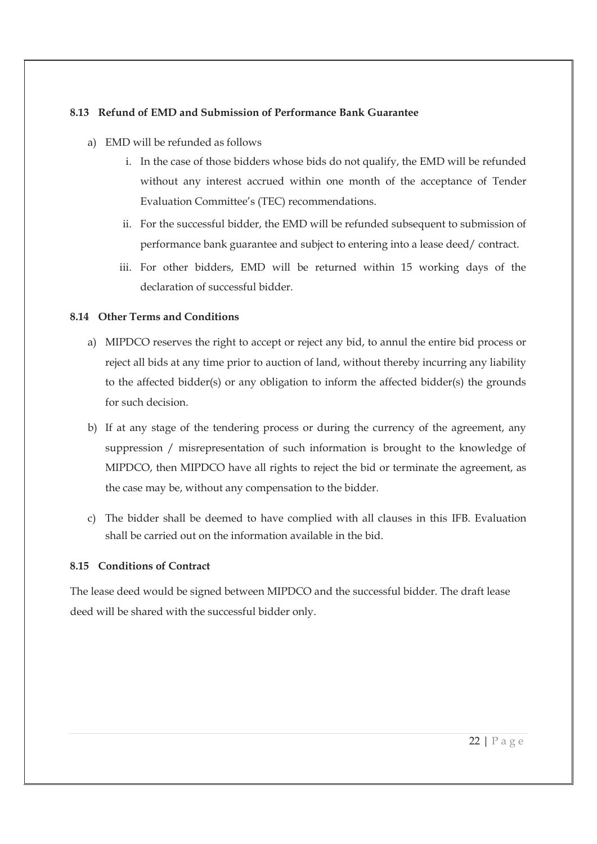#### **8.13 Refund of EMD and Submission of Performance Bank Guarantee**

- a) EMD will be refunded as follows
	- i. In the case of those bidders whose bids do not qualify, the EMD will be refunded without any interest accrued within one month of the acceptance of Tender Evaluation Committee's (TEC) recommendations.
	- ii. For the successful bidder, the EMD will be refunded subsequent to submission of performance bank guarantee and subject to entering into a lease deed/ contract.
	- iii. For other bidders, EMD will be returned within 15 working days of the declaration of successful bidder.

### **8.14 Other Terms and Conditions**

- a) MIPDCO reserves the right to accept or reject any bid, to annul the entire bid process or reject all bids at any time prior to auction of land, without thereby incurring any liability to the affected bidder(s) or any obligation to inform the affected bidder(s) the grounds for such decision.
- b) If at any stage of the tendering process or during the currency of the agreement, any suppression / misrepresentation of such information is brought to the knowledge of MIPDCO, then MIPDCO have all rights to reject the bid or terminate the agreement, as the case may be, without any compensation to the bidder.
- c) The bidder shall be deemed to have complied with all clauses in this IFB. Evaluation shall be carried out on the information available in the bid.

### **8.15 Conditions of Contract**

The lease deed would be signed between MIPDCO and the successful bidder. The draft lease deed will be shared with the successful bidder only.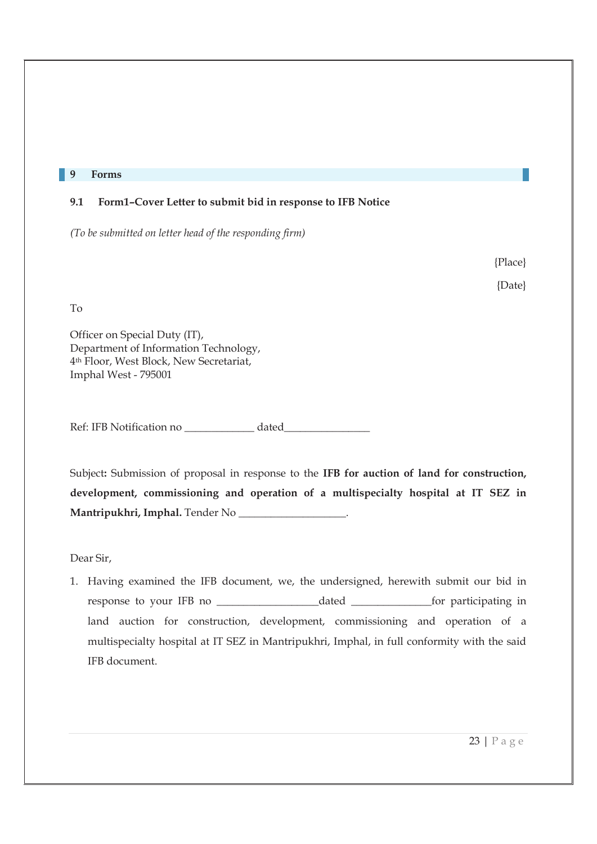#### **9 Forms**

#### **9.1 Form1–Cover Letter to submit bid in response to IFB Notice**

*(To be submitted on letter head of the responding firm)* 

{Place}

{Date}

To

Officer on Special Duty (IT), Department of Information Technology, 4th Floor, West Block, New Secretariat, Imphal West - 795001

Ref: IFB Notification no dated

Subject**:** Submission of proposal in response to the **IFB for auction of land for construction, development, commissioning and operation of a multispecialty hospital at IT SEZ in Mantripukhri, Imphal.** Tender No \_\_\_\_\_\_\_\_\_\_\_\_\_\_\_\_\_\_\_\_.

Dear Sir,

1. Having examined the IFB document, we, the undersigned, herewith submit our bid in response to your IFB no \_\_\_\_\_\_\_\_\_\_\_\_\_\_\_\_\_\_\_dated \_\_\_\_\_\_\_\_\_\_\_\_\_\_\_for participating in land auction for construction, development, commissioning and operation of a multispecialty hospital at IT SEZ in Mantripukhri, Imphal, in full conformity with the said IFB document.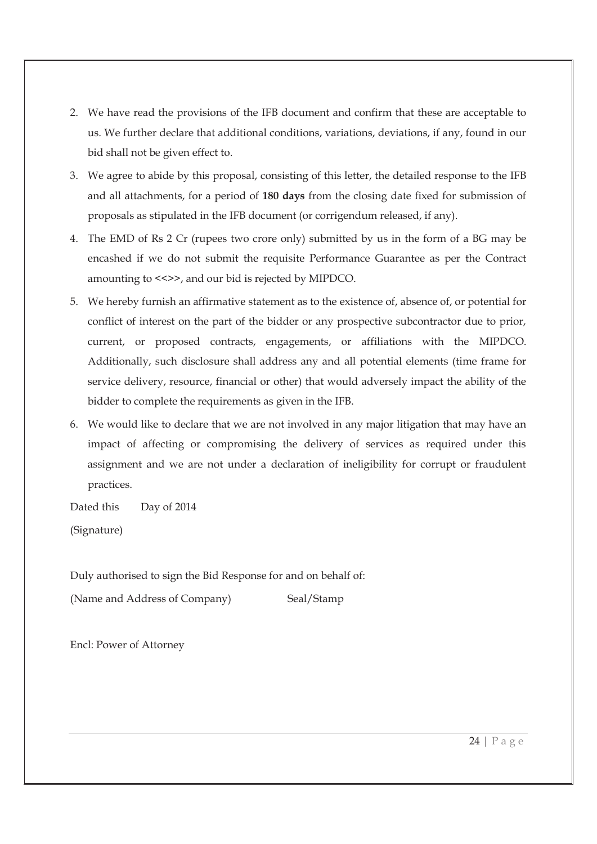- 2. We have read the provisions of the IFB document and confirm that these are acceptable to us. We further declare that additional conditions, variations, deviations, if any, found in our bid shall not be given effect to.
- 3. We agree to abide by this proposal, consisting of this letter, the detailed response to the IFB and all attachments, for a period of **180 days** from the closing date fixed for submission of proposals as stipulated in the IFB document (or corrigendum released, if any).
- 4. The EMD of Rs 2 Cr (rupees two crore only) submitted by us in the form of a BG may be encashed if we do not submit the requisite Performance Guarantee as per the Contract amounting to <<>>, and our bid is rejected by MIPDCO.
- 5. We hereby furnish an affirmative statement as to the existence of, absence of, or potential for conflict of interest on the part of the bidder or any prospective subcontractor due to prior, current, or proposed contracts, engagements, or affiliations with the MIPDCO. Additionally, such disclosure shall address any and all potential elements (time frame for service delivery, resource, financial or other) that would adversely impact the ability of the bidder to complete the requirements as given in the IFB.
- 6. We would like to declare that we are not involved in any major litigation that may have an impact of affecting or compromising the delivery of services as required under this assignment and we are not under a declaration of ineligibility for corrupt or fraudulent practices.

Dated this Day of 2014

(Signature)

Duly authorised to sign the Bid Response for and on behalf of:

(Name and Address of Company) Seal/Stamp

Encl: Power of Attorney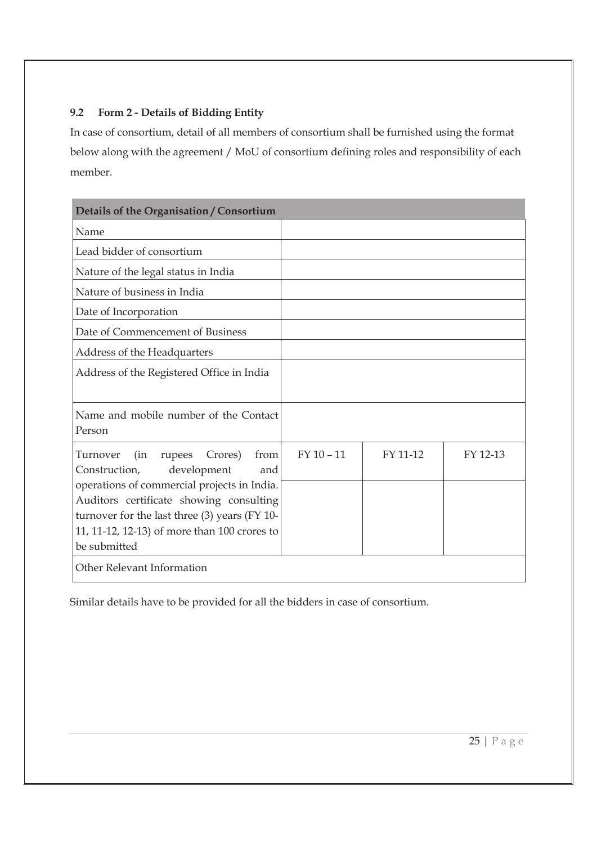## **9.2 Form 2 - Details of Bidding Entity**

In case of consortium, detail of all members of consortium shall be furnished using the format below along with the agreement / MoU of consortium defining roles and responsibility of each member.

| Details of the Organisation / Consortium                                               |              |          |          |
|----------------------------------------------------------------------------------------|--------------|----------|----------|
| Name                                                                                   |              |          |          |
| Lead bidder of consortium                                                              |              |          |          |
| Nature of the legal status in India                                                    |              |          |          |
| Nature of business in India                                                            |              |          |          |
| Date of Incorporation                                                                  |              |          |          |
| Date of Commencement of Business                                                       |              |          |          |
| Address of the Headquarters                                                            |              |          |          |
| Address of the Registered Office in India                                              |              |          |          |
|                                                                                        |              |          |          |
| Name and mobile number of the Contact                                                  |              |          |          |
| Person                                                                                 |              |          |          |
| Crores)<br>Turnover<br>(in<br>from<br>rupees                                           | $FY$ 10 - 11 | FY 11-12 | FY 12-13 |
| development<br>Construction,<br>and                                                    |              |          |          |
| operations of commercial projects in India.<br>Auditors certificate showing consulting |              |          |          |
| turnover for the last three (3) years (FY 10-                                          |              |          |          |
| 11, 11-12, 12-13) of more than 100 crores to                                           |              |          |          |
| be submitted                                                                           |              |          |          |
| Other Relevant Information                                                             |              |          |          |

Similar details have to be provided for all the bidders in case of consortium.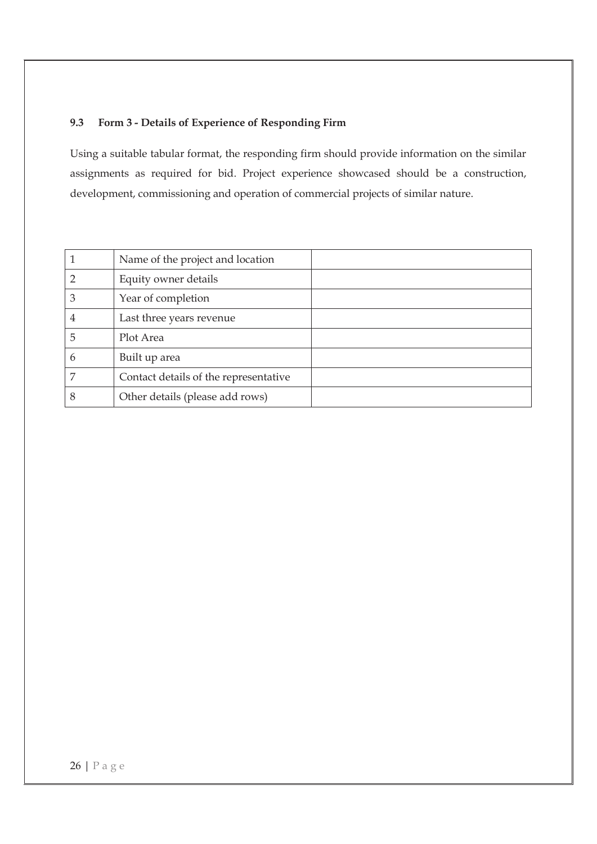### **9.3 Form 3 - Details of Experience of Responding Firm**

Using a suitable tabular format, the responding firm should provide information on the similar assignments as required for bid. Project experience showcased should be a construction, development, commissioning and operation of commercial projects of similar nature.

|   | Name of the project and location      |  |
|---|---------------------------------------|--|
|   | Equity owner details                  |  |
| 3 | Year of completion                    |  |
| 4 | Last three years revenue              |  |
| 5 | Plot Area                             |  |
| 6 | Built up area                         |  |
| 7 | Contact details of the representative |  |
| 8 | Other details (please add rows)       |  |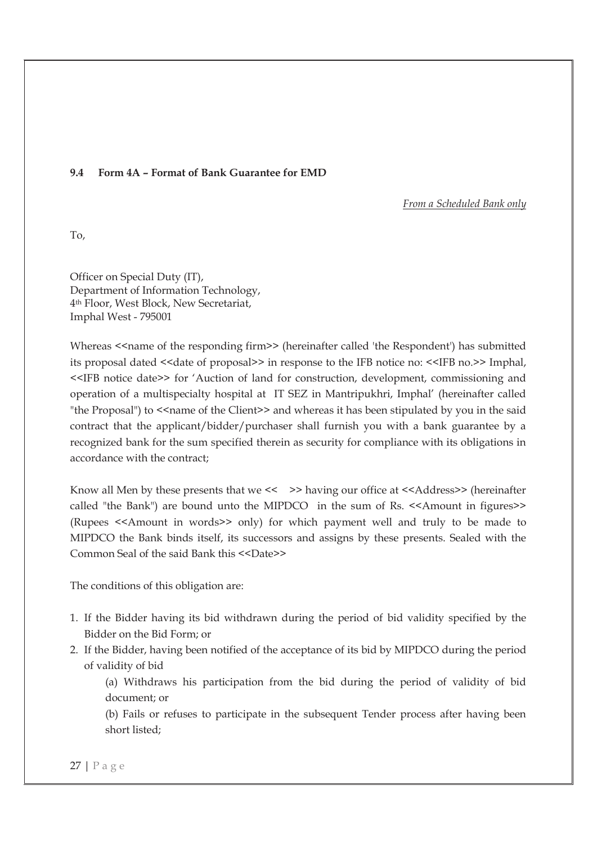#### **9.4 Form 4A – Format of Bank Guarantee for EMD**

*From a Scheduled Bank only* 

To,

Officer on Special Duty (IT), Department of Information Technology, 4th Floor, West Block, New Secretariat, Imphal West - 795001

Whereas <<name of the responding firm>> (hereinafter called 'the Respondent') has submitted its proposal dated <<date of proposal>> in response to the IFB notice no: <<IFB no.>> Imphal, <<IFB notice date>> for 'Auction of land for construction, development, commissioning and operation of a multispecialty hospital at IT SEZ in Mantripukhri, Imphal' (hereinafter called "the Proposal") to << name of the Client>> and whereas it has been stipulated by you in the said contract that the applicant/bidder/purchaser shall furnish you with a bank guarantee by a recognized bank for the sum specified therein as security for compliance with its obligations in accordance with the contract;

Know all Men by these presents that we << >> having our office at <<Address>> (hereinafter called "the Bank") are bound unto the MIPDCO in the sum of Rs. <<Amount in figures>> (Rupees <<Amount in words>> only) for which payment well and truly to be made to MIPDCO the Bank binds itself, its successors and assigns by these presents. Sealed with the Common Seal of the said Bank this <<Date>>

The conditions of this obligation are:

- 1. If the Bidder having its bid withdrawn during the period of bid validity specified by the Bidder on the Bid Form; or
- 2. If the Bidder, having been notified of the acceptance of its bid by MIPDCO during the period of validity of bid

(a) Withdraws his participation from the bid during the period of validity of bid document; or

(b) Fails or refuses to participate in the subsequent Tender process after having been short listed;

27 | P a g e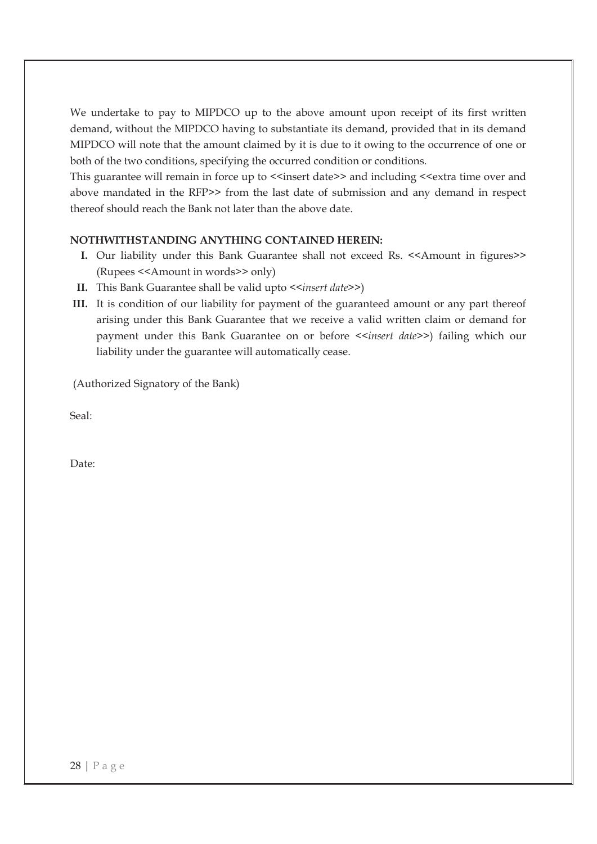We undertake to pay to MIPDCO up to the above amount upon receipt of its first written demand, without the MIPDCO having to substantiate its demand, provided that in its demand MIPDCO will note that the amount claimed by it is due to it owing to the occurrence of one or both of the two conditions, specifying the occurred condition or conditions.

This guarantee will remain in force up to  $\le$  insert date>> and including  $\le$  extra time over and above mandated in the RFP>> from the last date of submission and any demand in respect thereof should reach the Bank not later than the above date.

#### **NOTHWITHSTANDING ANYTHING CONTAINED HEREIN:**

- **I.** Our liability under this Bank Guarantee shall not exceed Rs. <<Amount in figures>> (Rupees <<Amount in words>> only)
- **II.** This Bank Guarantee shall be valid upto *<<insert date>>*)
- **III.** It is condition of our liability for payment of the guaranteed amount or any part thereof arising under this Bank Guarantee that we receive a valid written claim or demand for payment under this Bank Guarantee on or before <<*insert date>>*) failing which our liability under the guarantee will automatically cease.

(Authorized Signatory of the Bank)

Seal:

Date: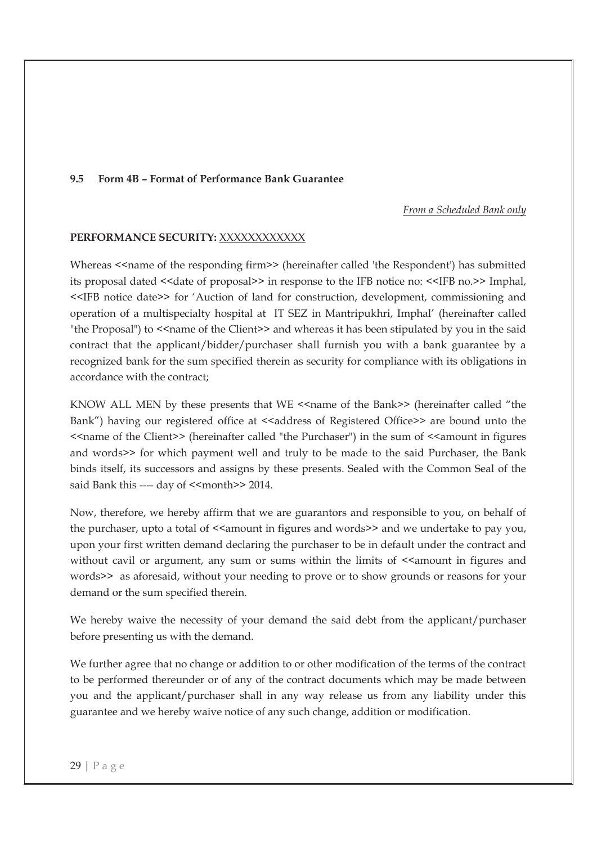#### **9.5 Form 4B – Format of Performance Bank Guarantee**

*From a Scheduled Bank only* 

#### **PERFORMANCE SECURITY:** XXXXXXXXXXXX

Whereas <<name of the responding firm>> (hereinafter called 'the Respondent') has submitted its proposal dated <<date of proposal>> in response to the IFB notice no: <<IFB no.>> Imphal, <<IFB notice date>> for 'Auction of land for construction, development, commissioning and operation of a multispecialty hospital at IT SEZ in Mantripukhri, Imphal' (hereinafter called "the Proposal") to <<name of the Client>> and whereas it has been stipulated by you in the said contract that the applicant/bidder/purchaser shall furnish you with a bank guarantee by a recognized bank for the sum specified therein as security for compliance with its obligations in accordance with the contract;

KNOW ALL MEN by these presents that WE <<name of the Bank>> (hereinafter called "the Bank") having our registered office at  $\leq$ ddress of Registered Office>> are bound unto the  $\le$  name of the Client >> (hereinafter called "the Purchaser") in the sum of  $\le$  amount in figures and words>> for which payment well and truly to be made to the said Purchaser, the Bank binds itself, its successors and assigns by these presents. Sealed with the Common Seal of the said Bank this ---- day of <<month>> 2014.

Now, therefore, we hereby affirm that we are guarantors and responsible to you, on behalf of the purchaser, upto a total of  $\leq$  amount in figures and words $\geq$  and we undertake to pay you, upon your first written demand declaring the purchaser to be in default under the contract and without cavil or argument, any sum or sums within the limits of  $\leq$  amount in figures and words>> as aforesaid, without your needing to prove or to show grounds or reasons for your demand or the sum specified therein.

We hereby waive the necessity of your demand the said debt from the applicant/purchaser before presenting us with the demand.

We further agree that no change or addition to or other modification of the terms of the contract to be performed thereunder or of any of the contract documents which may be made between you and the applicant/purchaser shall in any way release us from any liability under this guarantee and we hereby waive notice of any such change, addition or modification.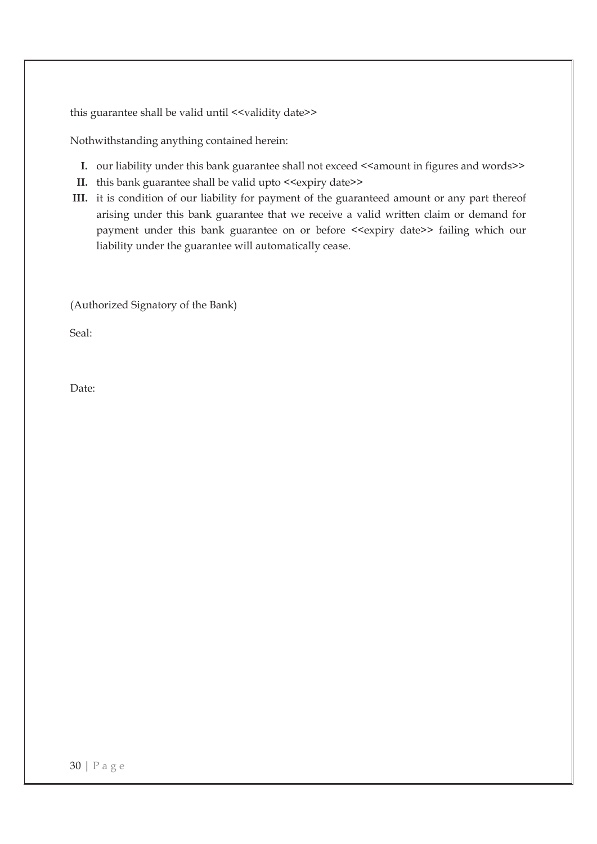this guarantee shall be valid until <<validity date>>

Nothwithstanding anything contained herein:

- **I.** our liability under this bank guarantee shall not exceed <<amount in figures and words>>
- **II.** this bank guarantee shall be valid upto <<expiry date>>
- **III.** it is condition of our liability for payment of the guaranteed amount or any part thereof arising under this bank guarantee that we receive a valid written claim or demand for payment under this bank guarantee on or before <<expiry date>> failing which our liability under the guarantee will automatically cease.

(Authorized Signatory of the Bank)

Seal:

Date: